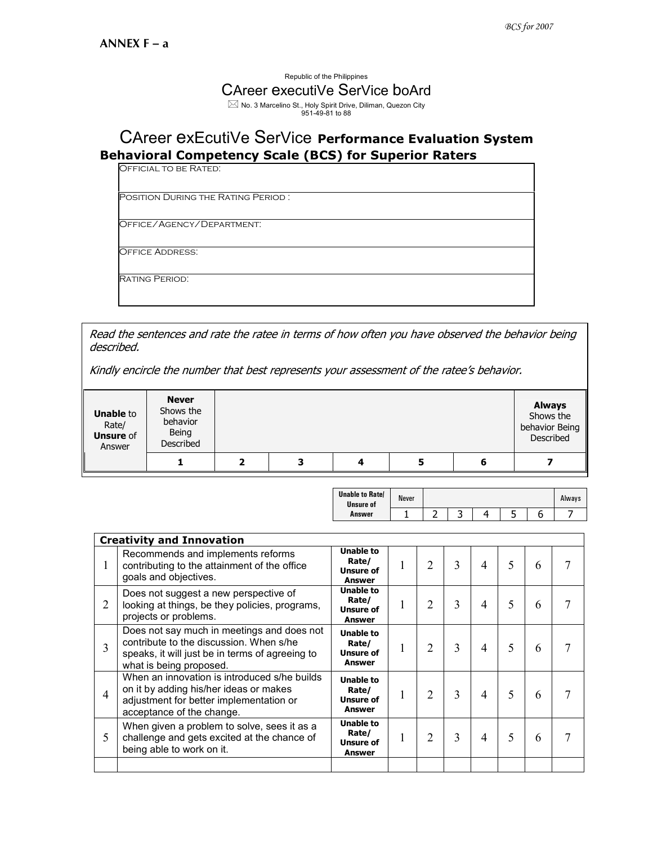## Republic of the Philippines CAreer executiVe SerVice boArd  $\boxtimes$  No. 3 Marcelino St., Holy Spirit Drive, Diliman, Quezon City<br>951-49-81 to 88

## CAreer exEcutiVe SerVice Performance Evaluation System Behavioral Competency Scale (BCS) for Superior Raters

| <b>OFFICIAL TO BE RATED:</b> |
|------------------------------|
|                              |

Position During the Rating Period :

Office/Agency/Department:

Office Address:

Rating Period:

Read the sentences and rate the ratee in terms of how often you have observed the behavior being described.

Kindly encircle the number that best represents your assessment of the ratee's behavior.

| <b>Unable to</b><br>Rate/<br><b>Unsure of</b><br>Answer | <b>Never</b><br>Shows the<br>behavior<br>Being<br>Described |   |   | <b>Always</b><br>Shows the<br>behavior Being<br>Described |
|---------------------------------------------------------|-------------------------------------------------------------|---|---|-----------------------------------------------------------|
|                                                         |                                                             | 3 | 5 |                                                           |

| <b>Unable to Ratel</b><br><b>Unsure of</b> | <b>Never</b> |   |   | Always |
|--------------------------------------------|--------------|---|---|--------|
| Answer                                     |              | ∽ | پ |        |

|                | <b>Creativity and Innovation</b>                                                                                                                                    |                                                                |                |   |   |   |   |  |
|----------------|---------------------------------------------------------------------------------------------------------------------------------------------------------------------|----------------------------------------------------------------|----------------|---|---|---|---|--|
| 1              | Recommends and implements reforms<br>contributing to the attainment of the office<br>goals and objectives.                                                          | <b>Unable to</b><br>Rate/<br><b>Unsure of</b><br><b>Answer</b> | 2              | 3 | 4 | 5 | 6 |  |
| 2              | Does not suggest a new perspective of<br>looking at things, be they policies, programs,<br>projects or problems.                                                    | <b>Unable to</b><br>Rate/<br>Unsure of<br>Answer               | 2              | 3 | 4 | 5 | 6 |  |
| 3              | Does not say much in meetings and does not<br>contribute to the discussion. When s/he<br>speaks, it will just be in terms of agreeing to<br>what is being proposed. | <b>Unable to</b><br>Rate/<br><b>Unsure of</b><br><b>Answer</b> | $\overline{2}$ | 3 | 4 | 5 | 6 |  |
| $\overline{4}$ | When an innovation is introduced s/he builds<br>on it by adding his/her ideas or makes<br>adjustment for better implementation or<br>acceptance of the change.      | <b>Unable to</b><br>Rate/<br><b>Unsure of</b><br>Answer        | 2              | 3 | 4 | 5 | 6 |  |
| 5              | When given a problem to solve, sees it as a<br>challenge and gets excited at the chance of<br>being able to work on it.                                             | <b>Unable to</b><br>Rate/<br><b>Unsure of</b><br>Answer        | 2              | 3 | 4 | 5 | 6 |  |
|                |                                                                                                                                                                     |                                                                |                |   |   |   |   |  |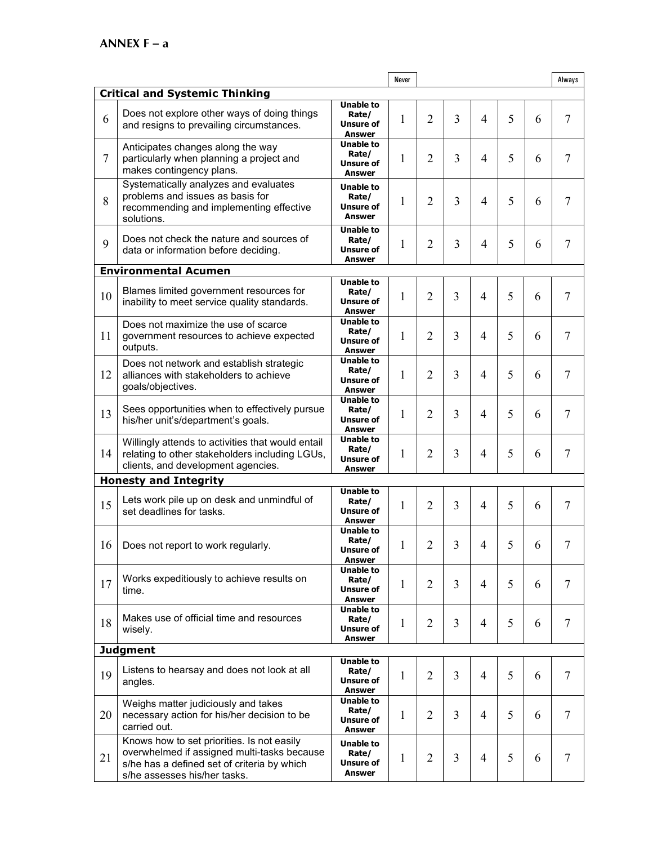|                |                                                                                                                                                                          |                                                         | Never        |                |   |                |   |   | Always         |
|----------------|--------------------------------------------------------------------------------------------------------------------------------------------------------------------------|---------------------------------------------------------|--------------|----------------|---|----------------|---|---|----------------|
|                | <b>Critical and Systemic Thinking</b>                                                                                                                                    |                                                         |              |                |   |                |   |   |                |
| 6              | Does not explore other ways of doing things<br>and resigns to prevailing circumstances.                                                                                  | Unable to<br>Rate/<br>Unsure of<br>Answer               | 1            | 2              | 3 | $\overline{4}$ | 5 | 6 | 7              |
| $\overline{7}$ | Anticipates changes along the way<br>particularly when planning a project and<br>makes contingency plans.                                                                | <b>Unable to</b><br>Rate/<br>Unsure of<br>Answer        | 1            | $\overline{2}$ | 3 | $\overline{4}$ | 5 | 6 | $\overline{7}$ |
| 8              | Systematically analyzes and evaluates<br>problems and issues as basis for<br>recommending and implementing effective<br>solutions.                                       | Unable to<br>Rate/<br>Unsure of<br>Answer               | 1            | $\overline{2}$ | 3 | $\overline{4}$ | 5 | 6 | 7              |
| 9              | Does not check the nature and sources of<br>data or information before deciding.                                                                                         | <b>Unable to</b><br>Rate/<br>Unsure of<br>Answer        | 1            | 2              | 3 | $\overline{4}$ | 5 | 6 | $\overline{7}$ |
|                | <b>Environmental Acumen</b>                                                                                                                                              |                                                         |              |                |   |                |   |   |                |
| 10             | Blames limited government resources for<br>inability to meet service quality standards.                                                                                  | <b>Unable to</b><br>Rate/<br>Unsure of<br>Answer        | 1            | $\overline{2}$ | 3 | 4              | 5 | 6 | $\overline{7}$ |
| 11             | Does not maximize the use of scarce<br>government resources to achieve expected<br>outputs.                                                                              | <b>Unable to</b><br>Rate/<br>Unsure of<br>Answer        | 1            | 2              | 3 | 4              | 5 | 6 | $\tau$         |
| 12             | Does not network and establish strategic<br>alliances with stakeholders to achieve<br>goals/objectives.                                                                  | <b>Unable to</b><br>Rate/<br>Unsure of<br>Answer        | 1            | $\overline{2}$ | 3 | 4              | 5 | 6 | 7              |
| 13             | Sees opportunities when to effectively pursue<br>his/her unit's/department's goals.                                                                                      | <b>Unable to</b><br>Rate/<br>Unsure of<br>Answer        | 1            | $\overline{2}$ | 3 | 4              | 5 | 6 | $\overline{7}$ |
| 14             | Willingly attends to activities that would entail<br>relating to other stakeholders including LGUs,<br>clients, and development agencies.                                | <b>Unable to</b><br>Rate/<br>Unsure of<br>Answer        | 1            | 2              | 3 | 4              | 5 | 6 | $\tau$         |
|                | <b>Honesty and Integrity</b>                                                                                                                                             |                                                         |              |                |   |                |   |   |                |
| 15             | Lets work pile up on desk and unmindful of<br>set deadlines for tasks.                                                                                                   | <b>Unable to</b><br>Rate/<br><b>Unsure of</b><br>Answer | 1            | $\overline{2}$ | 3 | $\overline{4}$ | 5 | 6 | $\tau$         |
| 16             | Does not report to work regularly.                                                                                                                                       | Unable to<br>Rate/<br><b>Unsure of</b><br>Answer        | $\mathbf{1}$ | $\overline{2}$ | 3 | 4              | 5 | 6 | 7              |
| 17             | Works expeditiously to achieve results on<br>time.                                                                                                                       | <b>Unable to</b><br>Rate/<br>Unsure of<br>Answer        | 1            | 2              | 3 | 4              | 5 | 6 | 7              |
| 18             | Makes use of official time and resources<br>wisely.                                                                                                                      | Unable to<br>Rate/<br>Unsure of<br>Answer               | 1            | 2              | 3 | $\overline{4}$ | 5 | 6 | $\tau$         |
|                | <b>Judgment</b>                                                                                                                                                          |                                                         |              |                |   |                |   |   |                |
| 19             | Listens to hearsay and does not look at all<br>angles.                                                                                                                   | <b>Unable to</b><br>Rate/<br>Unsure of<br>Answer        | 1            | $\overline{2}$ | 3 | $\overline{4}$ | 5 | 6 | 7              |
| 20             | Weighs matter judiciously and takes<br>necessary action for his/her decision to be<br>carried out.                                                                       | Unable to<br>Rate/<br>Unsure of<br>Answer               | 1            | 2              | 3 | 4              | 5 | 6 | $\tau$         |
| 21             | Knows how to set priorities. Is not easily<br>overwhelmed if assigned multi-tasks because<br>s/he has a defined set of criteria by which<br>s/he assesses his/her tasks. | Unable to<br>Rate/<br>Unsure of<br>Answer               | 1            | $\overline{2}$ | 3 | $\overline{4}$ | 5 | 6 | $\tau$         |